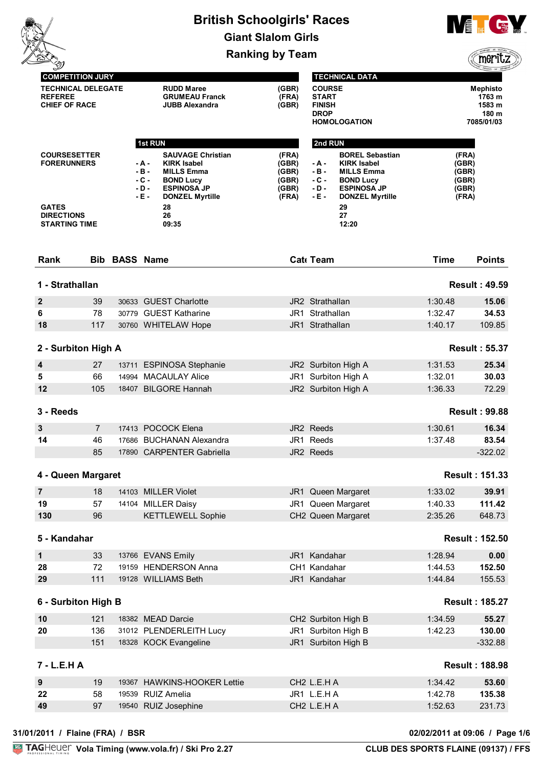|                                                                                                        |                |                      |                                             | <b>British Schoolgirls' Races</b>                                                                                                                            |                                                    |                                                               |                                                                                                                                                            |                                                    | $\mathbf{N}$ , $\mathbf{N}$<br><b>Castle</b>               |
|--------------------------------------------------------------------------------------------------------|----------------|----------------------|---------------------------------------------|--------------------------------------------------------------------------------------------------------------------------------------------------------------|----------------------------------------------------|---------------------------------------------------------------|------------------------------------------------------------------------------------------------------------------------------------------------------------|----------------------------------------------------|------------------------------------------------------------|
|                                                                                                        |                |                      |                                             |                                                                                                                                                              | <b>Giant Slalom Girls</b>                          |                                                               |                                                                                                                                                            |                                                    |                                                            |
|                                                                                                        |                |                      |                                             |                                                                                                                                                              | <b>Ranking by Team</b>                             |                                                               |                                                                                                                                                            |                                                    | meri                                                       |
| <b>COMPETITION JURY</b>                                                                                |                |                      |                                             |                                                                                                                                                              |                                                    |                                                               | <b>TECHNICAL DATA</b>                                                                                                                                      |                                                    |                                                            |
| <b>TECHNICAL DELEGATE</b><br><b>REFEREE</b><br><b>CHIEF OF RACE</b>                                    |                |                      |                                             | <b>RUDD Maree</b><br><b>GRUMEAU Franck</b><br><b>JUBB Alexandra</b>                                                                                          | (GBR)<br>(FRA)<br>(GBR)                            | <b>COURSE</b><br><b>START</b><br><b>FINISH</b><br><b>DROP</b> | <b>HOMOLOGATION</b>                                                                                                                                        |                                                    | <b>Mephisto</b><br>1763 m<br>1583 m<br>180 m<br>7085/01/03 |
|                                                                                                        |                |                      | 1st RUN                                     |                                                                                                                                                              |                                                    | 2nd RUN                                                       |                                                                                                                                                            |                                                    |                                                            |
| <b>COURSESETTER</b><br><b>FORERUNNERS</b><br><b>GATES</b><br><b>DIRECTIONS</b><br><b>STARTING TIME</b> |                |                      | - A -<br>$-B -$<br>$-C -$<br>- D -<br>- E - | <b>SAUVAGE Christian</b><br><b>KIRK Isabel</b><br><b>MILLS Emma</b><br><b>BOND Lucy</b><br><b>ESPINOSA JP</b><br><b>DONZEL Myrtille</b><br>28<br>26<br>09:35 | (FRA)<br>(GBR)<br>(GBR)<br>(GBR)<br>(GBR)<br>(FRA) | - A -<br>$-B -$<br>$-C -$<br>$- D -$<br>$-E -$                | <b>BOREL Sebastian</b><br><b>KIRK Isabel</b><br><b>MILLS Emma</b><br><b>BOND Lucy</b><br><b>ESPINOSA JP</b><br><b>DONZEL Myrtille</b><br>29<br>27<br>12:20 | (FRA)<br>(GBR)<br>(GBR)<br>(GBR)<br>(GBR)<br>(FRA) |                                                            |
| Rank                                                                                                   |                | <b>Bib BASS Name</b> |                                             |                                                                                                                                                              |                                                    | Cat Team                                                      |                                                                                                                                                            | <b>Time</b>                                        | <b>Points</b>                                              |
| 1 - Strathallan                                                                                        |                |                      |                                             |                                                                                                                                                              |                                                    |                                                               |                                                                                                                                                            |                                                    | <b>Result: 49.59</b>                                       |
| $\boldsymbol{2}$                                                                                       | 39             |                      |                                             | 30633 GUEST Charlotte                                                                                                                                        |                                                    | JR2 Strathallan                                               |                                                                                                                                                            | 1:30.48                                            | 15.06                                                      |
| 6                                                                                                      | 78             |                      |                                             | 30779 GUEST Katharine                                                                                                                                        |                                                    | JR1 Strathallan                                               |                                                                                                                                                            | 1:32.47                                            | 34.53                                                      |
| 18                                                                                                     | 117            |                      |                                             | 30760 WHITELAW Hope                                                                                                                                          |                                                    | JR1 Strathallan                                               |                                                                                                                                                            | 1:40.17                                            | 109.85                                                     |
| 2 - Surbiton High A                                                                                    |                |                      |                                             |                                                                                                                                                              |                                                    |                                                               |                                                                                                                                                            |                                                    | <b>Result: 55.37</b>                                       |
| 4                                                                                                      | 27             |                      |                                             | 13711 ESPINOSA Stephanie                                                                                                                                     |                                                    |                                                               | JR2 Surbiton High A                                                                                                                                        | 1:31.53                                            | 25.34                                                      |
| 5                                                                                                      | 66             |                      |                                             | 14994 MACAULAY Alice                                                                                                                                         |                                                    |                                                               | JR1 Surbiton High A                                                                                                                                        | 1:32.01                                            | 30.03                                                      |
| 12                                                                                                     | 105            |                      |                                             | 18407 BILGORE Hannah                                                                                                                                         |                                                    |                                                               | JR2 Surbiton High A                                                                                                                                        | 1:36.33                                            | 72.29                                                      |
| 3 - Reeds                                                                                              |                |                      |                                             |                                                                                                                                                              |                                                    |                                                               |                                                                                                                                                            |                                                    | <b>Result: 99.88</b>                                       |
| $\mathbf{3}$                                                                                           | $\overline{7}$ |                      |                                             | 17413 POCOCK Elena                                                                                                                                           |                                                    | JR2 Reeds                                                     |                                                                                                                                                            | 1:30.61                                            | 16.34                                                      |
| 14                                                                                                     | 46             |                      |                                             | 17686 BUCHANAN Alexandra                                                                                                                                     |                                                    | JR1 Reeds                                                     |                                                                                                                                                            | 1:37.48                                            | 83.54                                                      |
|                                                                                                        | 85             |                      |                                             | 17890 CARPENTER Gabriella                                                                                                                                    |                                                    | JR2 Reeds                                                     |                                                                                                                                                            |                                                    | $-322.02$                                                  |
| 4 - Queen Margaret                                                                                     |                |                      |                                             |                                                                                                                                                              |                                                    |                                                               |                                                                                                                                                            |                                                    | <b>Result: 151.33</b>                                      |
| $\overline{7}$                                                                                         | 18             |                      |                                             | 14103 MILLER Violet                                                                                                                                          | JR1                                                |                                                               | Queen Margaret                                                                                                                                             | 1:33.02                                            | 39.91                                                      |
| 19                                                                                                     | 57             |                      |                                             | 14104 MILLER Daisy                                                                                                                                           |                                                    |                                                               | JR1 Queen Margaret                                                                                                                                         | 1:40.33                                            | 111.42                                                     |
| 130                                                                                                    | 96             |                      |                                             | <b>KETTLEWELL Sophie</b>                                                                                                                                     |                                                    |                                                               | CH2 Queen Margaret                                                                                                                                         | 2:35.26                                            | 648.73                                                     |
| 5 - Kandahar                                                                                           |                |                      |                                             |                                                                                                                                                              |                                                    |                                                               |                                                                                                                                                            |                                                    | <b>Result: 152.50</b>                                      |
| 1                                                                                                      | 33             |                      |                                             | 13766 EVANS Emily                                                                                                                                            |                                                    | JR1 Kandahar                                                  |                                                                                                                                                            | 1:28.94                                            | 0.00                                                       |
| 28                                                                                                     | 72             |                      |                                             | 19159 HENDERSON Anna                                                                                                                                         |                                                    | CH1 Kandahar                                                  |                                                                                                                                                            | 1:44.53                                            | 152.50                                                     |
| 29                                                                                                     | 111            |                      |                                             | 19128 WILLIAMS Beth                                                                                                                                          |                                                    | JR1 Kandahar                                                  |                                                                                                                                                            | 1:44.84                                            | 155.53                                                     |
| 6 - Surbiton High B                                                                                    |                |                      |                                             |                                                                                                                                                              |                                                    |                                                               |                                                                                                                                                            |                                                    | <b>Result: 185.27</b>                                      |
| 10                                                                                                     | 121            |                      |                                             | 18382 MEAD Darcie                                                                                                                                            |                                                    |                                                               | CH2 Surbiton High B                                                                                                                                        | 1:34.59                                            | 55.27                                                      |
| 20                                                                                                     | 136            |                      |                                             | 31012 PLENDERLEITH Lucy                                                                                                                                      |                                                    |                                                               | JR1 Surbiton High B                                                                                                                                        | 1:42.23                                            | 130.00                                                     |
|                                                                                                        | 151            |                      |                                             | 18328 KOCK Evangeline                                                                                                                                        |                                                    |                                                               | JR1 Surbiton High B                                                                                                                                        |                                                    | $-332.88$                                                  |
| 7 - L.E.H A                                                                                            |                |                      |                                             |                                                                                                                                                              |                                                    |                                                               |                                                                                                                                                            |                                                    | <b>Result: 188.98</b>                                      |
| 9                                                                                                      | 19             |                      |                                             | 19367 HAWKINS-HOOKER Lettie                                                                                                                                  |                                                    | CH <sub>2</sub> L.E.H A                                       |                                                                                                                                                            | 1:34.42                                            | 53.60                                                      |
|                                                                                                        |                |                      |                                             |                                                                                                                                                              |                                                    |                                                               |                                                                                                                                                            |                                                    |                                                            |
| 22                                                                                                     | 58             |                      |                                             | 19539 RUIZ Amelia                                                                                                                                            |                                                    | JR1 L.E.HA                                                    |                                                                                                                                                            | 1:42.78                                            | 135.38                                                     |

**31/01/2011 / Flaine (FRA) / BSR 02/02/2011 at 09:06 / Page 1/6**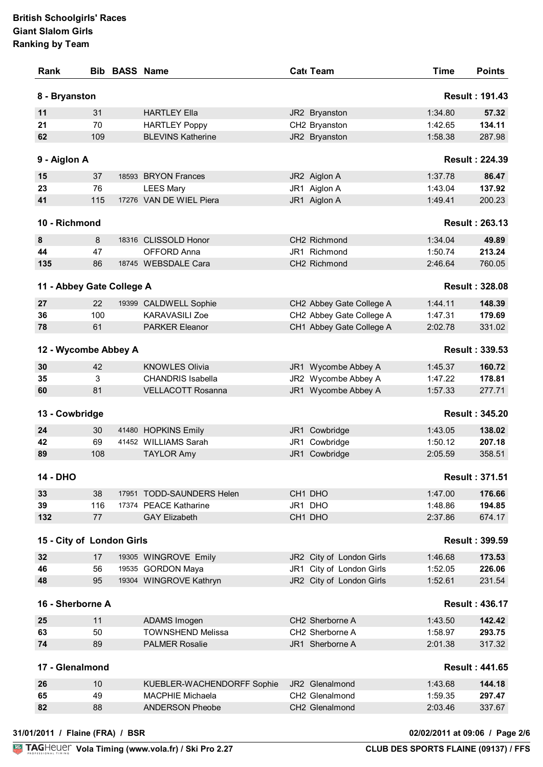|                                                                                                                                                  |     | <b>Bib BASS Name</b>       |      | Cat Team                 | <b>Time</b> | <b>Points</b>                                                                                                                                                                                        |
|--------------------------------------------------------------------------------------------------------------------------------------------------|-----|----------------------------|------|--------------------------|-------------|------------------------------------------------------------------------------------------------------------------------------------------------------------------------------------------------------|
| 8 - Bryanston                                                                                                                                    |     |                            |      |                          |             | <b>Result: 191.43</b>                                                                                                                                                                                |
| 11                                                                                                                                               | 31  | <b>HARTLEY Ella</b>        |      | JR2 Bryanston            | 1:34.80     | 57.32                                                                                                                                                                                                |
| 21                                                                                                                                               | 70  | <b>HARTLEY Poppy</b>       |      | CH2 Bryanston            | 1:42.65     | 134.11                                                                                                                                                                                               |
| 62                                                                                                                                               | 109 | <b>BLEVINS Katherine</b>   |      | JR2 Bryanston            | 1:58.38     | 287.98                                                                                                                                                                                               |
| 9 - Aiglon A                                                                                                                                     |     |                            |      |                          |             | <b>Result: 224.39</b>                                                                                                                                                                                |
| 15                                                                                                                                               | 37  | 18593 BRYON Frances        |      | JR2 Aiglon A             | 1:37.78     | 86.47                                                                                                                                                                                                |
| 23                                                                                                                                               | 76  | <b>LEES Mary</b>           |      | JR1 Aiglon A             | 1:43.04     | 137.92                                                                                                                                                                                               |
| 41                                                                                                                                               | 115 | 17276 VAN DE WIEL Piera    |      | JR1 Aiglon A             | 1:49.41     | 200.23                                                                                                                                                                                               |
| 10 - Richmond                                                                                                                                    |     |                            |      |                          |             | <b>Result: 263.13</b>                                                                                                                                                                                |
| 8                                                                                                                                                | 8   | 18316 CLISSOLD Honor       |      | CH2 Richmond             | 1:34.04     | 49.89                                                                                                                                                                                                |
| 44                                                                                                                                               | 47  | OFFORD Anna                |      | JR1 Richmond             | 1:50.74     | 213.24                                                                                                                                                                                               |
| 135                                                                                                                                              | 86  | 18745 WEBSDALE Cara        |      | CH2 Richmond             | 2:46.64     | 760.05                                                                                                                                                                                               |
| 11 - Abbey Gate College A                                                                                                                        |     |                            |      |                          |             | <b>Result: 328.08</b>                                                                                                                                                                                |
| 27                                                                                                                                               | 22  | 19399 CALDWELL Sophie      |      | CH2 Abbey Gate College A | 1:44.11     | 148.39                                                                                                                                                                                               |
| 36                                                                                                                                               | 100 | <b>KARAVASILI Zoe</b>      |      | CH2 Abbey Gate College A | 1:47.31     | 179.69                                                                                                                                                                                               |
| 78                                                                                                                                               | 61  | <b>PARKER Eleanor</b>      |      | CH1 Abbey Gate College A | 2:02.78     | 331.02                                                                                                                                                                                               |
|                                                                                                                                                  |     |                            |      |                          |             |                                                                                                                                                                                                      |
| 12 - Wycombe Abbey A                                                                                                                             |     |                            |      |                          |             | <b>Result: 339.53</b>                                                                                                                                                                                |
| 30                                                                                                                                               | 42  | <b>KNOWLES Olivia</b>      |      | JR1 Wycombe Abbey A      | 1:45.37     | 160.72                                                                                                                                                                                               |
| 35                                                                                                                                               | 3   | <b>CHANDRIS Isabella</b>   |      | JR2 Wycombe Abbey A      | 1:47.22     | 178.81                                                                                                                                                                                               |
| 60                                                                                                                                               | 81  | <b>VELLACOTT Rosanna</b>   |      | JR1 Wycombe Abbey A      | 1:57.33     | 277.71                                                                                                                                                                                               |
| 13 - Cowbridge                                                                                                                                   |     |                            |      |                          |             | <b>Result: 345.20</b>                                                                                                                                                                                |
| 24                                                                                                                                               | 30  | 41480 HOPKINS Emily        | JR1. | Cowbridge                | 1:43.05     | 138.02                                                                                                                                                                                               |
| 42                                                                                                                                               |     | 41452 WILLIAMS Sarah       | JR1  | Cowbridge                | 1:50.12     | 207.18                                                                                                                                                                                               |
|                                                                                                                                                  | 69  | <b>TAYLOR Amy</b>          |      | Cowbridge                |             |                                                                                                                                                                                                      |
|                                                                                                                                                  | 108 |                            | JR1  |                          | 2:05.59     |                                                                                                                                                                                                      |
|                                                                                                                                                  |     |                            |      |                          |             |                                                                                                                                                                                                      |
|                                                                                                                                                  |     |                            |      |                          |             |                                                                                                                                                                                                      |
|                                                                                                                                                  | 38  | 17951 TODD-SAUNDERS Helen  |      | CH1 DHO                  | 1:47.00     |                                                                                                                                                                                                      |
|                                                                                                                                                  | 116 | 17374 PEACE Katharine      |      | JR1 DHO                  | 1:48.86     |                                                                                                                                                                                                      |
|                                                                                                                                                  | 77  | <b>GAY Elizabeth</b>       |      | CH1 DHO                  | 2:37.86     |                                                                                                                                                                                                      |
|                                                                                                                                                  |     |                            |      |                          |             |                                                                                                                                                                                                      |
|                                                                                                                                                  | 17  | 19305 WINGROVE Emily       |      | JR2 City of London Girls | 1:46.68     |                                                                                                                                                                                                      |
|                                                                                                                                                  | 56  | 19535 GORDON Maya          |      | JR1 City of London Girls | 1:52.05     |                                                                                                                                                                                                      |
|                                                                                                                                                  | 95  | 19304 WINGROVE Kathryn     |      | JR2 City of London Girls | 1:52.61     |                                                                                                                                                                                                      |
|                                                                                                                                                  |     |                            |      |                          |             |                                                                                                                                                                                                      |
|                                                                                                                                                  | 11  | ADAMS Imogen               |      | CH2 Sherborne A          | 1:43.50     |                                                                                                                                                                                                      |
|                                                                                                                                                  | 50  | <b>TOWNSHEND Melissa</b>   |      | CH2 Sherborne A          | 1:58.97     |                                                                                                                                                                                                      |
|                                                                                                                                                  | 89  | <b>PALMER Rosalie</b>      |      | JR1 Sherborne A          | 2:01.38     |                                                                                                                                                                                                      |
| 89<br><b>14 - DHO</b><br>33<br>39<br>132<br>15 - City of London Girls<br>32<br>46<br>48<br>16 - Sherborne A<br>25<br>63<br>74<br>17 - Glenalmond |     |                            |      |                          |             | 358.51<br><b>Result: 371.51</b><br>176.66<br>194.85<br>674.17<br><b>Result: 399.59</b><br>173.53<br>226.06<br>231.54<br><b>Result: 436.17</b><br>142.42<br>293.75<br>317.32<br><b>Result: 441.65</b> |
| 26                                                                                                                                               | 10  | KUEBLER-WACHENDORFF Sophie |      | JR2 Glenalmond           | 1:43.68     | 144.18                                                                                                                                                                                               |
| 65                                                                                                                                               | 49  | <b>MACPHIE Michaela</b>    |      | CH2 Glenalmond           | 1:59.35     | 297.47                                                                                                                                                                                               |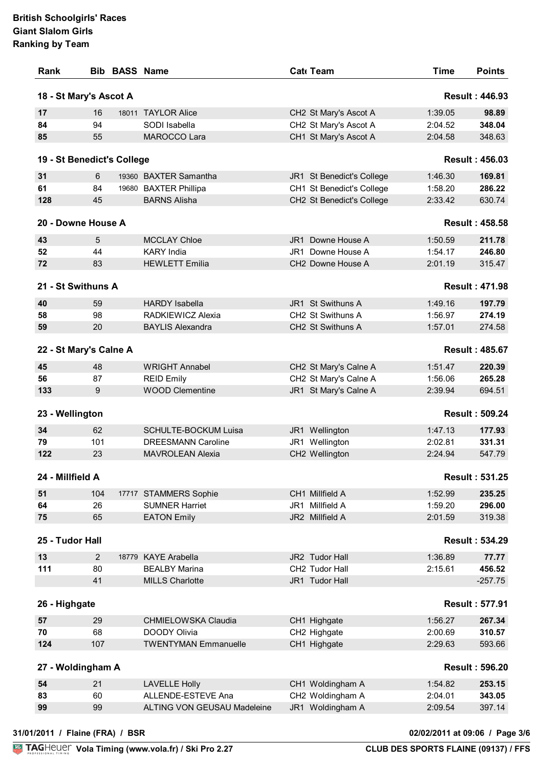| Rank                            |                | <b>Bib BASS Name</b> |                                             |     | Cat Team                      | <b>Time</b>                    | <b>Points</b>         |
|---------------------------------|----------------|----------------------|---------------------------------------------|-----|-------------------------------|--------------------------------|-----------------------|
| 18 - St Mary's Ascot A          |                |                      |                                             |     |                               |                                | <b>Result: 446.93</b> |
| 17                              | 16             |                      | 18011 TAYLOR Alice                          |     | CH2 St Mary's Ascot A         | 1:39.05                        | 98.89                 |
| 84                              | 94             |                      | SODI Isabella                               |     | CH2 St Mary's Ascot A         | 2:04.52                        | 348.04                |
| 85                              | 55             |                      | MAROCCO Lara                                |     | CH1 St Mary's Ascot A         | 2:04.58                        | 348.63                |
| 19 - St Benedict's College      |                |                      |                                             |     |                               |                                | <b>Result: 456.03</b> |
| 31                              | 6              |                      | 19360 BAXTER Samantha                       |     | JR1 St Benedict's College     | 1:46.30                        | 169.81                |
| 61                              | 84             |                      | 19680 BAXTER Phillipa                       |     | CH1 St Benedict's College     | 1:58.20                        | 286.22                |
| 128                             | 45             |                      | <b>BARNS Alisha</b>                         |     | CH2 St Benedict's College     | 2:33.42                        | 630.74                |
| 20 - Downe House A              |                |                      |                                             |     |                               |                                | <b>Result: 458.58</b> |
| 43                              | 5              |                      | <b>MCCLAY Chloe</b>                         | JR1 | Downe House A                 | 1:50.59                        | 211.78                |
| 52                              | 44             |                      | <b>KARY India</b>                           |     | JR1 Downe House A             | 1:54.17                        | 246.80                |
| 72                              | 83             |                      | <b>HEWLETT Emilia</b>                       |     | CH2 Downe House A             | 2:01.19                        |                       |
|                                 |                |                      |                                             |     |                               |                                | 315.47                |
| 21 - St Swithuns A              |                |                      |                                             |     |                               |                                | <b>Result: 471.98</b> |
| 40                              | 59             |                      | <b>HARDY Isabella</b>                       |     | JR1 St Swithuns A             | 1:49.16                        | 197.79                |
| 58                              | 98             |                      | RADKIEWICZ Alexia                           |     | CH2 St Swithuns A             | 1:56.97                        | 274.19                |
| 59                              | 20             |                      | <b>BAYLIS Alexandra</b>                     |     | CH <sub>2</sub> St Swithuns A | 1:57.01                        | 274.58                |
| 22 - St Mary's Calne A          |                |                      |                                             |     |                               |                                | <b>Result: 485.67</b> |
| 45                              | 48             |                      | <b>WRIGHT Annabel</b>                       |     | CH2 St Mary's Calne A         | 1:51.47                        | 220.39                |
| 56                              | 87             |                      | <b>REID Emily</b>                           |     | CH2 St Mary's Calne A         | 1:56.06                        | 265.28                |
| 133                             | 9              |                      | <b>WOOD Clementine</b>                      |     | JR1 St Mary's Calne A         | 2:39.94                        | 694.51                |
| 23 - Wellington                 |                |                      |                                             |     |                               |                                | <b>Result: 509.24</b> |
| 34                              | 62             |                      | <b>SCHULTE-BOCKUM Luisa</b>                 |     | JR1 Wellington                | 1:47.13                        | 177.93                |
| 79                              | 101            |                      | <b>DREESMANN Caroline</b>                   |     | JR1 Wellington                | 2:02.81                        | 331.31                |
| 122                             | 23             |                      | <b>MAVROLEAN Alexia</b>                     |     | CH2 Wellington                | 2:24.94                        | 547.79                |
|                                 |                |                      |                                             |     |                               |                                |                       |
| 24 - Millfield A                |                |                      |                                             |     |                               |                                | <b>Result: 531.25</b> |
| 51                              | 104            |                      | 17717 STAMMERS Sophie                       |     | CH1 Millfield A               | 1:52.99                        | 235.25                |
| 64                              | 26             |                      | <b>SUMNER Harriet</b>                       |     | JR1 Millfield A               | 1:59.20                        | 296.00                |
| 75                              | 65             |                      | <b>EATON Emily</b>                          |     | JR2 Millfield A               | 2:01.59                        | 319.38                |
| 25 - Tudor Hall                 |                |                      |                                             |     |                               |                                | <b>Result: 534.29</b> |
| 13                              | $\overline{2}$ |                      | 18779 KAYE Arabella                         |     | JR2 Tudor Hall                | 1:36.89                        | 77.77                 |
| 111                             | 80             |                      | <b>BEALBY Marina</b>                        |     | CH2 Tudor Hall                | 2:15.61                        | 456.52                |
|                                 | 41             |                      | <b>MILLS Charlotte</b>                      |     | JR1 Tudor Hall                |                                | $-257.75$             |
| 26 - Highgate                   |                |                      |                                             |     |                               |                                | <b>Result: 577.91</b> |
|                                 |                |                      |                                             |     |                               |                                |                       |
| 57                              | 29             |                      | CHMIELOWSKA Claudia                         |     | CH1 Highgate                  | 1:56.27                        | 267.34                |
| 70<br>124                       | 68<br>107      |                      | DOODY Olivia<br><b>TWENTYMAN Emmanuelle</b> |     | CH2 Highgate<br>CH1 Highgate  | 2:00.69<br>2:29.63             | 310.57<br>593.66      |
|                                 |                |                      |                                             |     |                               |                                | <b>Result: 596.20</b> |
| 27 - Woldingham A               |                |                      |                                             |     |                               |                                |                       |
| 54                              | 21             |                      | <b>LAVELLE Holly</b>                        |     | CH1 Woldingham A              | 1:54.82                        | 253.15                |
| 83                              | 60             |                      | ALLENDE-ESTEVE Ana                          |     | CH2 Woldingham A              | 2:04.01                        | 343.05                |
| 99                              | 99             |                      | <b>ALTING VON GEUSAU Madeleine</b>          |     | JR1 Woldingham A              | 2:09.54                        | 397.14                |
| 31/01/2011 / Flaine (FRA) / BSR |                |                      |                                             |     |                               | 02/02/2011 at 09:06 / Page 3/6 |                       |
|                                 |                |                      |                                             |     |                               |                                |                       |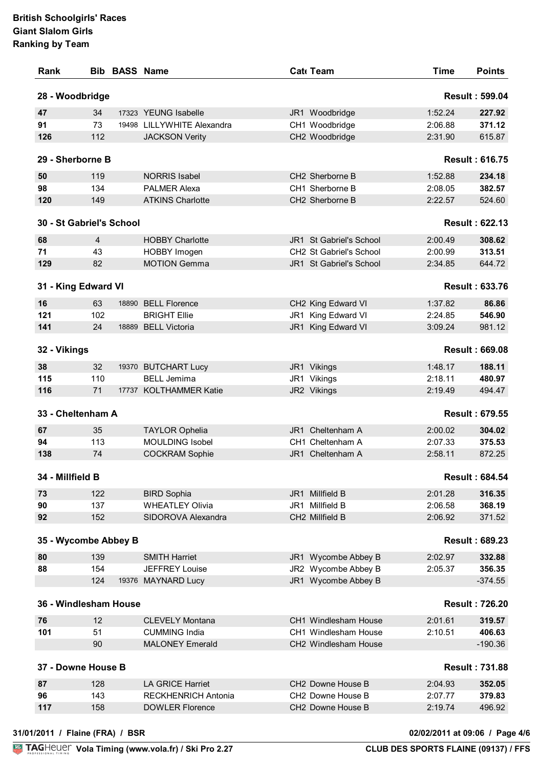|                          |                | <b>Bib BASS Name</b> |                                                 | Cat Team                           | <b>Time</b> | <b>Points</b>         |
|--------------------------|----------------|----------------------|-------------------------------------------------|------------------------------------|-------------|-----------------------|
| 28 - Woodbridge          |                |                      |                                                 |                                    |             | <b>Result: 599.04</b> |
| 47                       | 34             |                      | 17323 YEUNG Isabelle                            | JR1 Woodbridge                     | 1:52.24     | 227.92                |
| 91                       | 73             | 19498                | LILLYWHITE Alexandra                            | CH1 Woodbridge                     | 2:06.88     | 371.12                |
| 126                      | 112            |                      | <b>JACKSON Verity</b>                           | CH2 Woodbridge                     | 2:31.90     | 615.87                |
| 29 - Sherborne B         |                |                      |                                                 |                                    |             | <b>Result: 616.75</b> |
| 50                       | 119            |                      | <b>NORRIS Isabel</b>                            | CH2 Sherborne B                    | 1:52.88     | 234.18                |
| 98                       | 134            |                      | <b>PALMER Alexa</b>                             | CH1 Sherborne B                    | 2:08.05     | 382.57                |
| 120                      | 149            |                      | <b>ATKINS Charlotte</b>                         | CH2 Sherborne B                    | 2:22.57     | 524.60                |
| 30 - St Gabriel's School |                |                      |                                                 |                                    |             | <b>Result: 622.13</b> |
| 68                       | $\overline{4}$ |                      | <b>HOBBY Charlotte</b>                          | JR1 St Gabriel's School            | 2:00.49     | 308.62                |
| 71                       | 43             |                      | HOBBY Imogen                                    | CH2 St Gabriel's School            | 2:00.99     | 313.51                |
| 129                      | 82             |                      | <b>MOTION Gemma</b>                             | JR1 St Gabriel's School            | 2:34.85     | 644.72                |
|                          |                |                      |                                                 |                                    |             |                       |
| 31 - King Edward VI      |                |                      |                                                 |                                    |             | <b>Result: 633.76</b> |
| 16                       | 63             |                      | 18890 BELL Florence                             | CH2 King Edward VI                 | 1:37.82     | 86.86                 |
| 121                      | 102            |                      | <b>BRIGHT Ellie</b>                             | JR1 King Edward VI                 | 2:24.85     | 546.90                |
| 141                      | 24             |                      | 18889 BELL Victoria                             | King Edward VI<br>JR1              | 3:09.24     | 981.12                |
| 32 - Vikings             |                |                      |                                                 |                                    |             | <b>Result: 669.08</b> |
| 38                       | 32             |                      | 19370 BUTCHART Lucy                             | JR1 Vikings                        | 1:48.17     | 188.11                |
| 115                      | 110            |                      | <b>BELL Jemima</b>                              | JR1 Vikings                        | 2:18.11     | 480.97                |
| 116                      | 71             |                      | 17737 KOLTHAMMER Katie                          | JR2 Vikings                        | 2:19.49     | 494.47                |
|                          |                |                      |                                                 |                                    |             |                       |
| 33 - Cheltenham A        |                |                      |                                                 |                                    |             | <b>Result: 679.55</b> |
| 67                       | 35             |                      |                                                 | Cheltenham A<br>JR1.               | 2:00.02     | 304.02                |
| 94                       | 113            |                      | <b>TAYLOR Ophelia</b><br><b>MOULDING Isobel</b> | CH1 Cheltenham A                   | 2:07.33     | 375.53                |
| 138                      | 74             |                      | <b>COCKRAM Sophie</b>                           | JR1 Cheltenham A                   | 2:58.11     | 872.25                |
| 34 - Millfield B         |                |                      |                                                 |                                    |             | <b>Result: 684.54</b> |
|                          |                |                      |                                                 |                                    |             |                       |
| 73                       | 122            |                      | <b>BIRD Sophia</b>                              | JR1 Millfield B                    | 2:01.28     | 316.35                |
| 90                       | 137            |                      | <b>WHEATLEY Olivia</b><br>SIDOROVA Alexandra    | JR1 Millfield B<br>CH2 Millfield B | 2:06.58     | 368.19                |
| 92                       | 152            |                      |                                                 |                                    | 2:06.92     | 371.52                |
| 35 - Wycombe Abbey B     |                |                      |                                                 |                                    |             | <b>Result: 689.23</b> |
| 80                       | 139            |                      | <b>SMITH Harriet</b>                            | JR1 Wycombe Abbey B                | 2:02.97     | 332.88                |
| 88                       | 154            |                      | <b>JEFFREY Louise</b>                           | JR2 Wycombe Abbey B                | 2:05.37     | 356.35                |
|                          | 124            |                      | 19376 MAYNARD Lucy                              | JR1 Wycombe Abbey B                |             | $-374.55$             |
| 36 - Windlesham House    |                |                      |                                                 |                                    |             | <b>Result: 726.20</b> |
| 76                       | 12             |                      | <b>CLEVELY Montana</b>                          | CH1 Windlesham House               | 2:01.61     | 319.57                |
| 101                      | 51             |                      | <b>CUMMING India</b>                            | CH1 Windlesham House               | 2:10.51     | 406.63                |
|                          | 90             |                      | <b>MALONEY Emerald</b>                          | CH2 Windlesham House               |             | $-190.36$             |
| 37 - Downe House B       |                |                      |                                                 |                                    |             | <b>Result: 731.88</b> |
| 87                       | 128            |                      | <b>LA GRICE Harriet</b>                         | CH2 Downe House B                  | 2:04.93     | 352.05                |
| 96                       | 143            |                      | <b>RECKHENRICH Antonia</b>                      | CH2 Downe House B                  | 2:07.77     | 379.83                |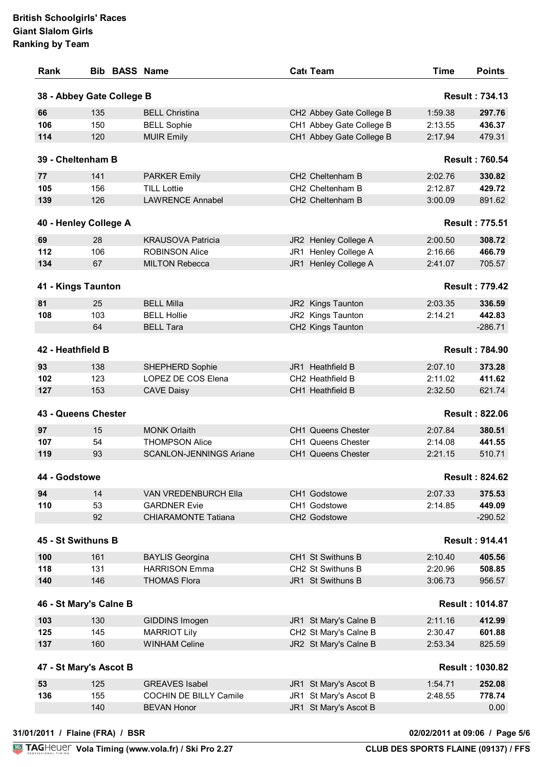| Rank                                                                 | <b>Bib BASS Name</b>      |                                                     | Cat Team                                       | <b>Time</b>        | <b>Points</b>          |
|----------------------------------------------------------------------|---------------------------|-----------------------------------------------------|------------------------------------------------|--------------------|------------------------|
|                                                                      | 38 - Abbey Gate College B |                                                     |                                                |                    | <b>Result: 734.13</b>  |
| 66                                                                   | 135                       | <b>BELL Christina</b>                               | CH2 Abbey Gate College B                       | 1:59.38            | 297.76                 |
| 106                                                                  | 150                       | <b>BELL Sophie</b>                                  | CH1 Abbey Gate College B                       | 2:13.55            | 436.37                 |
| 114                                                                  | 120                       | <b>MUIR Emily</b>                                   | CH1 Abbey Gate College B                       | 2:17.94            | 479.31                 |
|                                                                      | 39 - Cheltenham B         |                                                     |                                                |                    | <b>Result: 760.54</b>  |
| 77                                                                   | 141                       | <b>PARKER Emily</b>                                 | CH2 Cheltenham B                               | 2:02.76            | 330.82                 |
| 105                                                                  | 156                       | <b>TILL Lottie</b>                                  | CH2 Cheltenham B                               | 2:12.87            | 429.72                 |
| 139                                                                  | 126                       | <b>LAWRENCE Annabel</b>                             | CH2 Cheltenham B                               | 3:00.09            | 891.62                 |
|                                                                      | 40 - Henley College A     |                                                     |                                                |                    | <b>Result: 775.51</b>  |
| 69                                                                   | 28                        | <b>KRAUSOVA Patricia</b>                            | JR2 Henley College A                           | 2:00.50            | 308.72                 |
| 112                                                                  | 106                       | <b>ROBINSON Alice</b>                               | JR1 Henley College A                           | 2:16.66            | 466.79                 |
| 134                                                                  | 67                        | <b>MILTON Rebecca</b>                               | JR1 Henley College A                           | 2:41.07            | 705.57                 |
|                                                                      | 41 - Kings Taunton        |                                                     |                                                |                    | <b>Result: 779.42</b>  |
| 81                                                                   | 25                        | <b>BELL Milla</b>                                   | JR2 Kings Taunton                              | 2:03.35            | 336.59                 |
| 108                                                                  | 103                       | <b>BELL Hollie</b>                                  | JR2 Kings Taunton                              | 2:14.21            | 442.83                 |
|                                                                      | 64                        | <b>BELL Tara</b>                                    | CH2 Kings Taunton                              |                    | $-286.71$              |
| 42 - Heathfield B                                                    |                           |                                                     |                                                |                    | <b>Result: 784.90</b>  |
|                                                                      |                           |                                                     |                                                |                    |                        |
| 93                                                                   | 138                       | SHEPHERD Sophie                                     | JR1 Heathfield B                               | 2:07.10            | 373.28                 |
| 102<br>127                                                           | 123<br>153                | LOPEZ DE COS Elena<br><b>CAVE Daisy</b>             | CH2 Heathfield B<br>CH1 Heathfield B           | 2:11.02<br>2:32.50 | 411.62<br>621.74       |
|                                                                      | 43 - Queens Chester       |                                                     |                                                |                    | <b>Result: 822.06</b>  |
| 97                                                                   | 15                        | <b>MONK Orlaith</b>                                 | CH1 Queens Chester                             | 2:07.84            | 380.51                 |
| 107                                                                  | 54                        | <b>THOMPSON Alice</b>                               | CH1 Queens Chester                             | 2:14.08            | 441.55                 |
| 119                                                                  | 93                        | <b>SCANLON-JENNINGS Ariane</b>                      | CH1 Queens Chester                             | 2:21.15            | 510.71                 |
|                                                                      |                           |                                                     |                                                |                    | <b>Result: 824.62</b>  |
|                                                                      |                           |                                                     |                                                |                    |                        |
|                                                                      |                           |                                                     |                                                |                    |                        |
|                                                                      | 14                        | VAN VREDENBURCH Ella                                | CH1 Godstowe                                   | 2:07.33            | 375.53                 |
|                                                                      | 53                        | <b>GARDNER Evie</b>                                 | CH1 Godstowe                                   | 2:14.85            | 449.09                 |
|                                                                      | 92                        | <b>CHIARAMONTE Tatiana</b>                          | CH2 Godstowe                                   |                    | $-290.52$              |
|                                                                      | 45 - St Swithuns B        |                                                     |                                                |                    | <b>Result: 914.41</b>  |
|                                                                      | 161                       | <b>BAYLIS Georgina</b>                              | CH1 St Swithuns B                              | 2:10.40            | 405.56                 |
|                                                                      | 131                       | <b>HARRISON Emma</b>                                | CH2 St Swithuns B                              | 2:20.96            | 508.85                 |
|                                                                      | 146                       | <b>THOMAS Flora</b>                                 | JR1 St Swithuns B                              | 3:06.73            | 956.57                 |
|                                                                      | 46 - St Mary's Calne B    |                                                     |                                                |                    | <b>Result: 1014.87</b> |
|                                                                      | 130                       | GIDDINS Imogen                                      | JR1 St Mary's Calne B                          | 2:11.16            | 412.99                 |
|                                                                      | 145                       | <b>MARRIOT Lily</b>                                 | CH2 St Mary's Calne B                          | 2:30.47            | 601.88                 |
| 44 - Godstowe<br>94<br>110<br>100<br>118<br>140<br>103<br>125<br>137 | 160                       | <b>WINHAM Celine</b>                                | JR2 St Mary's Calne B                          | 2:53.34            | 825.59                 |
|                                                                      | 47 - St Mary's Ascot B    |                                                     |                                                |                    | <b>Result: 1030.82</b> |
| 53                                                                   | 125                       | <b>GREAVES</b> Isabel                               | JR1 St Mary's Ascot B                          | 1:54.71            | 252.08                 |
| 136                                                                  | 155<br>140                | <b>COCHIN DE BILLY Camile</b><br><b>BEVAN Honor</b> | JR1 St Mary's Ascot B<br>JR1 St Mary's Ascot B | 2:48.55            | 778.74<br>0.00         |